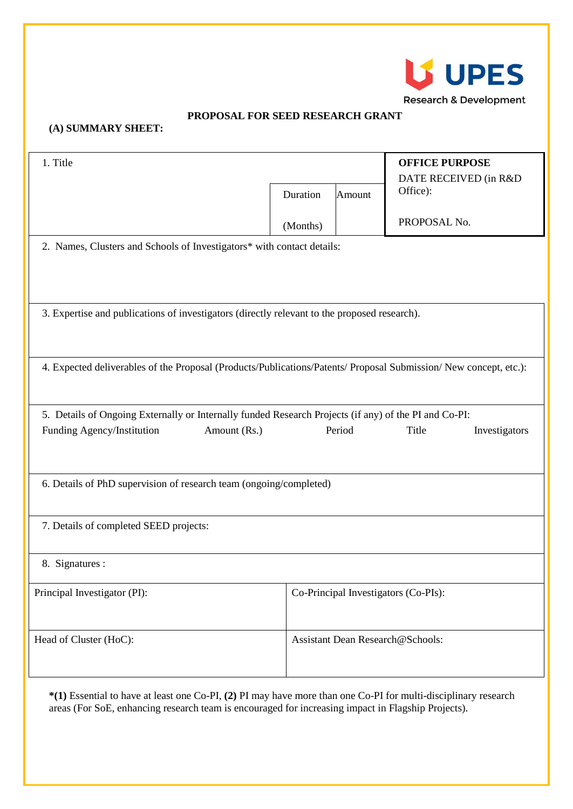

## **PROPOSAL FOR SEED RESEARCH GRANT**

## **(A) SUMMARY SHEET:**

| 1. Title                                                                                                          |          | <b>OFFICE PURPOSE</b><br>DATE RECEIVED (in R&D |                                      |  |  |  |  |
|-------------------------------------------------------------------------------------------------------------------|----------|------------------------------------------------|--------------------------------------|--|--|--|--|
|                                                                                                                   | Duration | Amount                                         | Office):                             |  |  |  |  |
|                                                                                                                   | (Months) |                                                | PROPOSAL No.                         |  |  |  |  |
| 2. Names, Clusters and Schools of Investigators* with contact details:                                            |          |                                                |                                      |  |  |  |  |
|                                                                                                                   |          |                                                |                                      |  |  |  |  |
| 3. Expertise and publications of investigators (directly relevant to the proposed research).                      |          |                                                |                                      |  |  |  |  |
|                                                                                                                   |          |                                                |                                      |  |  |  |  |
|                                                                                                                   |          |                                                |                                      |  |  |  |  |
| 4. Expected deliverables of the Proposal (Products/Publications/Patents/ Proposal Submission/ New concept, etc.): |          |                                                |                                      |  |  |  |  |
| 5. Details of Ongoing Externally or Internally funded Research Projects (if any) of the PI and Co-PI:             |          |                                                |                                      |  |  |  |  |
| Funding Agency/Institution<br>Amount (Rs.)                                                                        |          | Period                                         | Title<br>Investigators               |  |  |  |  |
|                                                                                                                   |          |                                                |                                      |  |  |  |  |
| 6. Details of PhD supervision of research team (ongoing/completed)                                                |          |                                                |                                      |  |  |  |  |
|                                                                                                                   |          |                                                |                                      |  |  |  |  |
| 7. Details of completed SEED projects:                                                                            |          |                                                |                                      |  |  |  |  |
| 8. Signatures :                                                                                                   |          |                                                |                                      |  |  |  |  |
| Principal Investigator (PI):                                                                                      |          |                                                | Co-Principal Investigators (Co-PIs): |  |  |  |  |
|                                                                                                                   |          |                                                |                                      |  |  |  |  |
| Head of Cluster (HoC):                                                                                            |          |                                                | Assistant Dean Research@Schools:     |  |  |  |  |
|                                                                                                                   |          |                                                |                                      |  |  |  |  |

**\*(1)** Essential to have at least one Co-PI, **(2)** PI may have more than one Co-PI for multi-disciplinary research areas (For SoE, enhancing research team is encouraged for increasing impact in Flagship Projects).